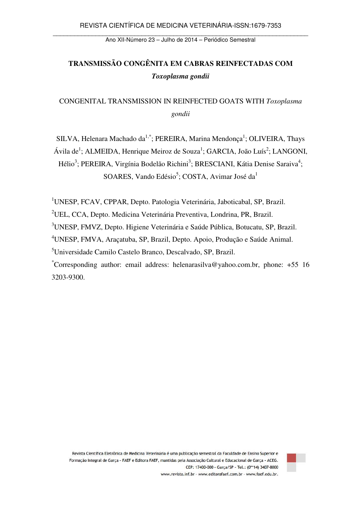Ano XII-Número 23 – Julho de 2014 – Periódico Semestral

# **TRANSMISSÃO CONGÊNITA EM CABRAS REINFECTADAS COM**  *Toxoplasma gondii*

CONGENITAL TRANSMISSION IN REINFECTED GOATS WITH *Toxoplasma gondii*

SILVA, Helenara Machado da<sup>1,\*</sup>; PEREIRA, Marina Mendonça<sup>1</sup>; OLIVEIRA, Thays Ávila de<sup>1</sup>; ALMEIDA, Henrique Meiroz de Souza<sup>1</sup>; GARCIA, João Luís<sup>2</sup>; LANGONI, Hélio<sup>3</sup>; PEREIRA, Virgínia Bodelão Richini<sup>3</sup>; BRESCIANI, Kátia Denise Saraiva<sup>4</sup>; SOARES, Vando Edésio<sup>5</sup>; COSTA, Avimar José da<sup>1</sup>

<sup>1</sup>UNESP, FCAV, CPPAR, Depto. Patologia Veterinária, Jaboticabal, SP, Brazil.

<sup>2</sup>UEL, CCA, Depto. Medicina Veterinária Preventiva, Londrina, PR, Brazil.

<sup>3</sup>UNESP, FMVZ, Depto. Higiene Veterinária e Saúde Pública, Botucatu, SP, Brazil.

<sup>4</sup>UNESP, FMVA, Araçatuba, SP, Brazil, Depto. Apoio, Produção e Saúde Animal.

<sup>5</sup>Universidade Camilo Castelo Branco, Descalvado, SP, Brazil.

\*Corresponding author: email address: helenarasilva@yahoo.com.br, phone: +55 16 3203-9300.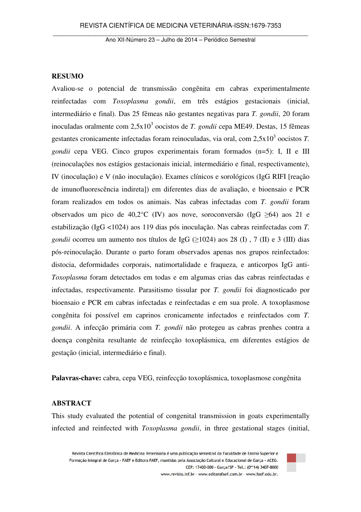#### **RESUMO**

Avaliou-se o potencial de transmissão congênita em cabras experimentalmente reinfectadas com *Toxoplasma gondii*, em três estágios gestacionais (inicial, intermediário e final). Das 25 fêmeas não gestantes negativas para *T. gondii*, 20 foram inoculadas oralmente com 2,5x10<sup>3</sup> oocistos de *T. gondii* cepa ME49. Destas, 15 fêmeas gestantes cronicamente infectadas foram reinoculadas, via oral, com 2,5x10<sup>3</sup> oocistos *T*. *gondii* cepa VEG. Cinco grupos experimentais foram formados (n=5): I, II e III (reinoculações nos estágios gestacionais inicial, intermediário e final, respectivamente), IV (inoculação) e V (não inoculação). Exames clínicos e sorológicos (IgG RIFI [reação de imunofluorescência indireta]) em diferentes dias de avaliação, e bioensaio e PCR foram realizados em todos os animais. Nas cabras infectadas com *T. gondii* foram observados um pico de 40,2°C (IV) aos nove, soroconversão (IgG  $\geq 64$ ) aos 21 e estabilização (IgG <1024) aos 119 dias pós inoculação. Nas cabras reinfectadas com *T. gondii* ocorreu um aumento nos títulos de IgG ( $\geq$ 1024) aos 28 (I), 7 (II) e 3 (III) dias pós-reinoculação. Durante o parto foram observados apenas nos grupos reinfectados: distocia, deformidades corporais, natimortalidade e fraqueza, e anticorpos IgG anti-*Toxoplasma* foram detectados em todas e em algumas crias das cabras reinfectadas e infectadas, respectivamente. Parasitismo tissular por *T. gondii* foi diagnosticado por bioensaio e PCR em cabras infectadas e reinfectadas e em sua prole. A toxoplasmose congênita foi possível em caprinos cronicamente infectados e reinfectados com *T. gondii*. A infecção primária com *T. gondii* não protegeu as cabras prenhes contra a doença congênita resultante de reinfecção toxoplásmica, em diferentes estágios de gestação (inicial, intermediário e final).

**Palavras-chave:** cabra, cepa VEG, reinfecção toxoplásmica, toxoplasmose congênita

## **ABSTRACT**

This study evaluated the potential of congenital transmission in goats experimentally infected and reinfected with *Toxoplasma gondii*, in three gestational stages (initial,

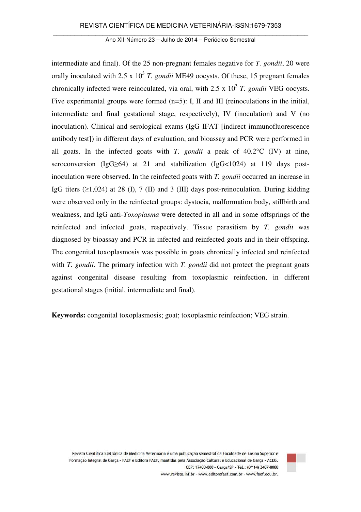intermediate and final). Of the 25 non-pregnant females negative for *T. gondii*, 20 were orally inoculated with  $2.5 \times 10^3$  *T. gondii* ME49 oocysts. Of these, 15 pregnant females chronically infected were reinoculated, via oral, with  $2.5 \times 10^3$  T. gondii VEG oocysts. Five experimental groups were formed (n=5): I, II and III (reinoculations in the initial, intermediate and final gestational stage, respectively), IV (inoculation) and V (no inoculation). Clinical and serological exams (IgG IFAT [indirect immunofluorescence antibody test]) in different days of evaluation, and bioassay and PCR were performed in all goats. In the infected goats with *T. gondii* a peak of 40.2°C (IV) at nine, seroconversion (IgG≥64) at 21 and stabilization (IgG<1024) at 119 days postinoculation were observed. In the reinfected goats with *T. gondii* occurred an increase in IgG titers  $(\geq 1,024)$  at 28 (I), 7 (II) and 3 (III) days post-reinoculation. During kidding were observed only in the reinfected groups: dystocia, malformation body, stillbirth and weakness, and IgG anti-*Toxoplasma* were detected in all and in some offsprings of the reinfected and infected goats, respectively. Tissue parasitism by *T. gondii* was diagnosed by bioassay and PCR in infected and reinfected goats and in their offspring. The congenital toxoplasmosis was possible in goats chronically infected and reinfected with *T. gondii*. The primary infection with *T. gondii* did not protect the pregnant goats against congenital disease resulting from toxoplasmic reinfection, in different gestational stages (initial, intermediate and final).

**Keywords:** congenital toxoplasmosis; goat; toxoplasmic reinfection; VEG strain.

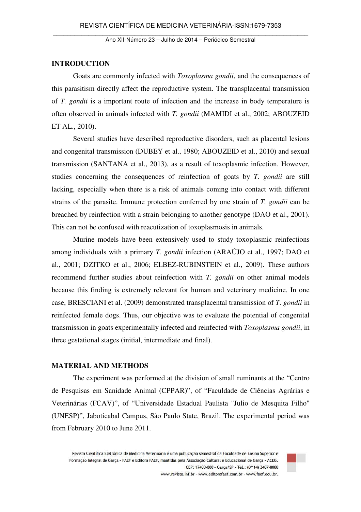### **INTRODUCTION**

Goats are commonly infected with *Toxoplasma gondii*, and the consequences of this parasitism directly affect the reproductive system. The transplacental transmission of *T. gondii* is a important route of infection and the increase in body temperature is often observed in animals infected with *T. gondii* (MAMIDI et al., 2002; ABOUZEID ET AL., 2010).

Several studies have described reproductive disorders, such as placental lesions and congenital transmission (DUBEY et al., 1980; ABOUZEID et al., 2010) and sexual transmission (SANTANA et al., 2013), as a result of toxoplasmic infection. However, studies concerning the consequences of reinfection of goats by *T. gondii* are still lacking, especially when there is a risk of animals coming into contact with different strains of the parasite. Immune protection conferred by one strain of *T. gondii* can be breached by reinfection with a strain belonging to another genotype (DAO et al., 2001). This can not be confused with reacutization of toxoplasmosis in animals.

Murine models have been extensively used to study toxoplasmic reinfections among individuals with a primary *T. gondii* infection (ARAÚJO et al., 1997; DAO et al., 2001; DZITKO et al., 2006; ELBEZ-RUBINSTEIN et al., 2009). These authors recommend further studies about reinfection with *T. gondii* on other animal models because this finding is extremely relevant for human and veterinary medicine. In one case, BRESCIANI et al. (2009) demonstrated transplacental transmission of *T. gondii* in reinfected female dogs. Thus, our objective was to evaluate the potential of congenital transmission in goats experimentally infected and reinfected with *Toxoplasma gondii*, in three gestational stages (initial, intermediate and final).

### **MATERIAL AND METHODS**

The experiment was performed at the division of small ruminants at the "Centro de Pesquisas em Sanidade Animal (CPPAR)", of "Faculdade de Ciências Agrárias e Veterinárias (FCAV)", of "Universidade Estadual Paulista "Julio de Mesquita Filho" (UNESP)", Jaboticabal Campus, São Paulo State, Brazil. The experimental period was from February 2010 to June 2011.

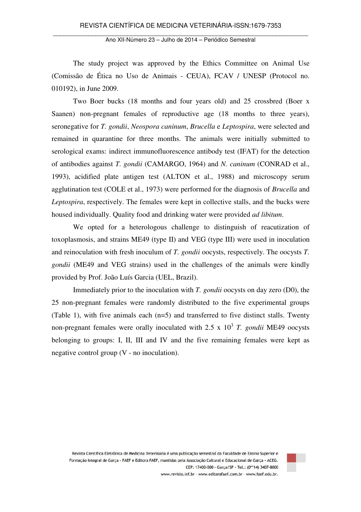The study project was approved by the Ethics Committee on Animal Use (Comissão de Ética no Uso de Animais - CEUA), FCAV / UNESP (Protocol no. 010192), in June 2009.

Two Boer bucks (18 months and four years old) and 25 crossbred (Boer x Saanen) non-pregnant females of reproductive age (18 months to three years), seronegative for *T. gondii*, *Neospora caninum*, *Brucella* e *Leptospira*, were selected and remained in quarantine for three months. The animals were initially submitted to serological exams: indirect immunofluorescence antibody test (IFAT) for the detection of antibodies against *T. gondii* (CAMARGO, 1964) and *N. caninum* (CONRAD et al., 1993), acidified plate antigen test (ALTON et al., 1988) and microscopy serum agglutination test (COLE et al., 1973) were performed for the diagnosis of *Brucella* and *Leptospira*, respectively. The females were kept in collective stalls, and the bucks were housed individually. Quality food and drinking water were provided *ad libitum*.

We opted for a heterologous challenge to distinguish of reacutization of toxoplasmosis, and strains ME49 (type II) and VEG (type III) were used in inoculation and reinoculation with fresh inoculum of *T. gondii* oocysts, respectively. The oocysts *T. gondii* (ME49 and VEG strains) used in the challenges of the animals were kindly provided by Prof. João Luís Garcia (UEL, Brazil).

Immediately prior to the inoculation with *T. gondii* oocysts on day zero (D0), the 25 non-pregnant females were randomly distributed to the five experimental groups (Table 1), with five animals each (n=5) and transferred to five distinct stalls. Twenty non-pregnant females were orally inoculated with  $2.5 \times 10^3$  T. *gondii* ME49 oocysts belonging to groups: I, II, III and IV and the five remaining females were kept as negative control group (V - no inoculation).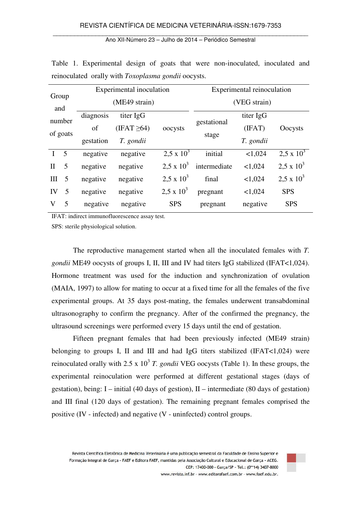| Group              |   |                        | Experimental inoculation |                   | Experimental reinoculation |           |                     |  |  |
|--------------------|---|------------------------|--------------------------|-------------------|----------------------------|-----------|---------------------|--|--|
|                    |   |                        | (ME49 strain)            |                   | (VEG strain)               |           |                     |  |  |
| and                |   | diagnosis              | titer IgG                |                   |                            | titer IgG |                     |  |  |
| number<br>of goats |   | $(IFAT \geq 64)$<br>of |                          | oocysts           | gestational                | (IFAT)    | Oocysts             |  |  |
|                    |   | gestation              | T. gondii                |                   | stage                      | T. gondii |                     |  |  |
| I <sub>5</sub>     |   | negative               | negative                 | $2.5 \times 10^3$ | initial                    | < 1,024   | $2,5 \times 10^{3}$ |  |  |
| $\mathbf{H}$       | 5 | negative               | negative                 | $2.5 \times 10^3$ | intermediate               | < 1,024   | $2.5 \times 10^3$   |  |  |
| III                | 5 | negative               | negative                 | $2.5 \times 10^3$ | final                      | < 1,024   | $2.5 \times 10^3$   |  |  |
| IV                 | 5 | negative               | negative                 | $2.5 \times 10^3$ | pregnant                   | < 1,024   | <b>SPS</b>          |  |  |
| V                  | 5 | negative               | negative                 | <b>SPS</b>        | pregnant                   | negative  | <b>SPS</b>          |  |  |

Table 1. Experimental design of goats that were non-inoculated, inoculated and reinoculated orally with *Toxoplasma gondii* oocysts.

IFAT: indirect immunofluorescence assay test.

SPS: sterile physiological solution.

 The reproductive management started when all the inoculated females with *T. gondii* ME49 oocysts of groups I, II, III and IV had titers IgG stabilized (IFAT<1,024). Hormone treatment was used for the induction and synchronization of ovulation (MAIA, 1997) to allow for mating to occur at a fixed time for all the females of the five experimental groups. At 35 days post-mating, the females underwent transabdominal ultrasonography to confirm the pregnancy. After of the confirmed the pregnancy, the ultrasound screenings were performed every 15 days until the end of gestation.

Fifteen pregnant females that had been previously infected (ME49 strain) belonging to groups I, II and III and had IgG titers stabilized (IFAT<1,024) were reinoculated orally with 2.5 x  $10^3$  T. *gondii* VEG oocysts (Table 1). In these groups, the experimental reinoculation were performed at different gestational stages (days of gestation), being: I – initial (40 days of gestion), II – intermediate (80 days of gestation) and III final (120 days of gestation). The remaining pregnant females comprised the positive (IV - infected) and negative (V - uninfected) control groups.

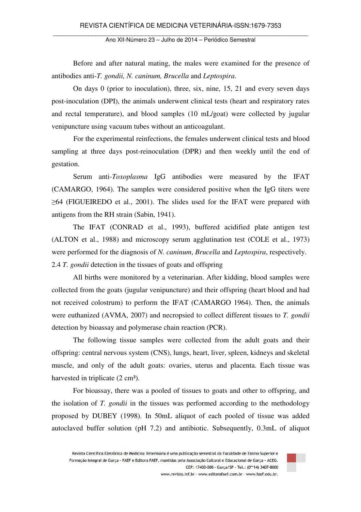Ano XII-Número 23 – Julho de 2014 – Periódico Semestral

Before and after natural mating, the males were examined for the presence of antibodies anti-*T. gondii, N. caninum, Brucella* and *Leptospira*.

On days 0 (prior to inoculation), three, six, nine, 15, 21 and every seven days post-inoculation (DPI), the animals underwent clinical tests (heart and respiratory rates and rectal temperature), and blood samples (10 mL/goat) were collected by jugular venipuncture using vacuum tubes without an anticoagulant.

For the experimental reinfections, the females underwent clinical tests and blood sampling at three days post-reinoculation (DPR) and then weekly until the end of gestation.

Serum anti-*Toxoplasma* IgG antibodies were measured by the IFAT (CAMARGO, 1964). The samples were considered positive when the IgG titers were  $\geq 64$  (FIGUEIREDO et al., 2001). The slides used for the IFAT were prepared with antigens from the RH strain (Sabin, 1941).

 The IFAT (CONRAD et al., 1993), buffered acidified plate antigen test (ALTON et al., 1988) and microscopy serum agglutination test (COLE et al., 1973) were performed for the diagnosis of *N. caninum*, *Brucella* and *Leptospira*, respectively. 2.4 *T. gondii* detection in the tissues of goats and offspring

All births were monitored by a veterinarian. After kidding, blood samples were collected from the goats (jugular venipuncture) and their offspring (heart blood and had not received colostrum) to perform the IFAT (CAMARGO 1964). Then, the animals were euthanized (AVMA, 2007) and necropsied to collect different tissues to *T. gondii* detection by bioassay and polymerase chain reaction (PCR).

The following tissue samples were collected from the adult goats and their offspring: central nervous system (CNS), lungs, heart, liver, spleen, kidneys and skeletal muscle, and only of the adult goats: ovaries, uterus and placenta. Each tissue was harvested in triplicate  $(2 \text{ cm}^3)$ .

For bioassay, there was a pooled of tissues to goats and other to offspring, and the isolation of *T. gondii* in the tissues was performed according to the methodology proposed by DUBEY (1998). In 50mL aliquot of each pooled of tissue was added autoclaved buffer solution (pH 7.2) and antibiotic. Subsequently, 0.3mL of aliquot

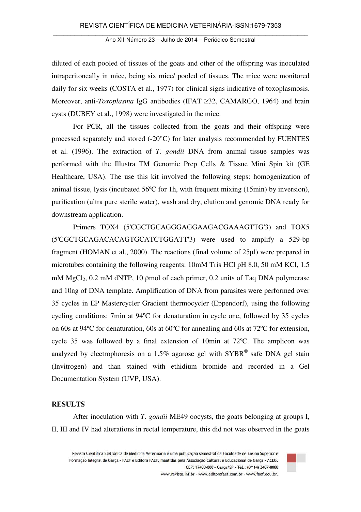diluted of each pooled of tissues of the goats and other of the offspring was inoculated intraperitoneally in mice, being six mice/ pooled of tissues. The mice were monitored daily for six weeks (COSTA et al., 1977) for clinical signs indicative of toxoplasmosis. Moreover, anti-*Toxoplasma* IgG antibodies (IFAT ≥32, CAMARGO, 1964) and brain cysts (DUBEY et al., 1998) were investigated in the mice.

For PCR, all the tissues collected from the goats and their offspring were processed separately and stored (-20°C) for later analysis recommended by FUENTES et al. (1996). The extraction of *T. gondii* DNA from animal tissue samples was performed with the Illustra TM Genomic Prep Cells & Tissue Mini Spin kit (GE Healthcare, USA). The use this kit involved the following steps: homogenization of animal tissue, lysis (incubated 56ºC for 1h, with frequent mixing (15min) by inversion), purification (ultra pure sterile water), wash and dry, elution and genomic DNA ready for downstream application.

Primers TOX4 (5'CGCTGCAGGGAGGAAGACGAAAGTTG'3) and TOX5 (5'CGCTGCAGACACAGTGCATCTGGATT'3) were used to amplify a 529-bp fragment (HOMAN et al., 2000). The reactions (final volume of 25µl) were prepared in microtubes containing the following reagents: 10mM Tris HCl pH 8.0, 50 mM KCl, 1.5 mM  $MgCl<sub>2</sub>$ , 0.2 mM dNTP, 10 pmol of each primer, 0.2 units of Taq DNA polymerase and 10ng of DNA template. Amplification of DNA from parasites were performed over 35 cycles in EP Mastercycler Gradient thermocycler (Eppendorf), using the following cycling conditions: 7min at 94ºC for denaturation in cycle one, followed by 35 cycles on 60s at 94ºC for denaturation, 60s at 60ºC for annealing and 60s at 72ºC for extension, cycle 35 was followed by a final extension of 10min at 72ºC. The amplicon was analyzed by electrophoresis on a 1.5% agarose gel with  $SYBR^{\circledast}$  safe DNA gel stain (Invitrogen) and than stained with ethidium bromide and recorded in a Gel Documentation System (UVP, USA).

#### **RESULTS**

After inoculation with *T. gondii* ME49 oocysts, the goats belonging at groups I, II, III and IV had alterations in rectal temperature, this did not was observed in the goats

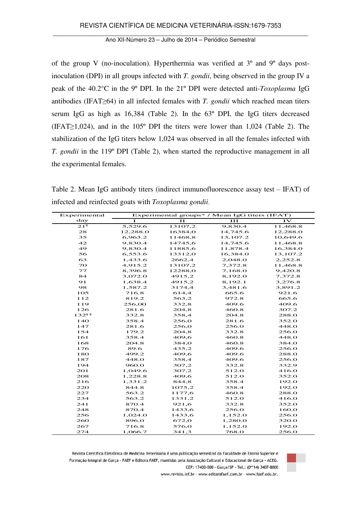of the group V (no-inoculation). Hyperthermia was verified at 3º and 9º days postinoculation (DPI) in all groups infected with *T. gondii*, being observed in the group IV a peak of the 40.2°C in the 9º DPI. In the 21º DPI were detected anti-*Toxoplasma* IgG antibodies (IFAT≥64) in all infected females with *T. gondii* which reached mean titers serum IgG as high as 16,384 (Table 2). In the 63º DPI, the IgG titers decreased (IFAT≥1,024), and in the 105º DPI the titers were lower than 1,024 (Table 2). The stabilization of the IgG titers below 1,024 was observed in all the females infected with *T. gondii* in the 119º DPI (Table 2), when started the reproductive management in all the experimental females.

Table 2. Mean IgG antibody titers (indirect immunofluorescence assay test  $-$  IFAT) of infected and reinfected goats with *Toxoplasma gondii*.

| Experimental    | Experimental groups* / Mean IgG titers (IFAT) |         |          |               |  |  |  |  |
|-----------------|-----------------------------------------------|---------|----------|---------------|--|--|--|--|
| day             | T                                             | II      | III      | $\mathbf{IV}$ |  |  |  |  |
| $21^{\circ}$    | 5,529.6                                       | 13107,2 | 9,830.4  | 11,468.8      |  |  |  |  |
| 28              | 12,288.0                                      | 16384,0 | 14,745.6 | 12,288.0      |  |  |  |  |
| 35              | 6,963.2                                       | 11468,8 | 13,107.2 | 10,649.6      |  |  |  |  |
| 42              | 9,830.4                                       | 14745,6 | 14,745.6 | 11,468.8      |  |  |  |  |
| 49              | 9,830.4                                       | 11885,6 | 11,878.4 | 16,384.0      |  |  |  |  |
| 56              | 6,553.6                                       | 13312,0 | 16,384.0 | 13,107.2      |  |  |  |  |
| 63              | 1,433.6                                       | 2662,4  | 2,048.0  | 2,252.8       |  |  |  |  |
| 70              | 4,915.2                                       | 13107,2 | 7,372.8  | 11,468.8      |  |  |  |  |
| 77              | 8,396.8                                       | 12288,0 | 7,168.0  | 9,420.8       |  |  |  |  |
| 84              | 3,072.0                                       | 4915,2  | 8,192.0  | 7,372.8       |  |  |  |  |
| 91              | 1,638.4                                       | 4915,2  | 8,192.1  | 3,276.8       |  |  |  |  |
| 98              | 1,587.2                                       | 3174,4  | 3,481.6  | 3,891.2       |  |  |  |  |
| 105             | 716.8                                         | 614,4   | 665.6    | 921.6         |  |  |  |  |
| 112             | 819.2                                         | 563,2   | 972.8    | 665.6         |  |  |  |  |
| 119             | 256,00                                        | 332,8   | 409.6    | 409.6         |  |  |  |  |
| 126             | 281.6                                         | 204,8   | 460.8    | 307.2         |  |  |  |  |
| $132^{99}$      | 332.8                                         | 358,4   | 204.8    | 288.0         |  |  |  |  |
| 14 <sub>O</sub> | 358.4                                         | 256,0   | 281.6    | 352.0         |  |  |  |  |
| 147             | 281.6                                         | 256,0   | 256.0    | 448.0         |  |  |  |  |
| 154             | 179.2                                         | 204,8   | 332.8    | 256.0         |  |  |  |  |
| 161             | 358.4                                         | 409,6   | 460.8    | 448.0         |  |  |  |  |
| 168             | 204.8                                         | 384,0   | 460.8    | 384.0         |  |  |  |  |
| 176             | 89.6                                          | 435,2   | 409.6    | 256.0         |  |  |  |  |
| 180             | 499.2                                         | 409,6   | 409.6    | 288.0         |  |  |  |  |
| 187             | 448.0                                         | 358,4   | 409.6    | 256.0         |  |  |  |  |
| 194             | 960.0                                         | 307,2   | 332.8    | 332.9         |  |  |  |  |
| 201             | 1,049.6                                       | 307,2   | 512.0    | 416.0         |  |  |  |  |
| 208             | 1,228.8                                       | 409,6   | 512.0    | 352.0         |  |  |  |  |
| 216             | 1,331.2                                       | 844,8   | 358.4    | 192.0         |  |  |  |  |
| 220             | 844.8                                         | 1075,2  | 358.4    | 192.0         |  |  |  |  |
| 227             | 563.2                                         | 1177,6  | 460.8    | 288.0         |  |  |  |  |
| 234             | 563.2                                         | 1331,2  | 512.0    | 416.0         |  |  |  |  |
| 241             | 870.4                                         | 921,6   | 332.8    | 352.0         |  |  |  |  |
| 248             | 870.4                                         | 1433,6  | 256.0    | 160.0         |  |  |  |  |
| 256             | 1,024.0                                       | 1433,6  | 1,152.0  | 256.0         |  |  |  |  |
| 260             | 896.0                                         | 672,0   | 1,280.0  | 320.0         |  |  |  |  |
| 267             | 716.8                                         | 576,0   | 1,152.0  | 192.0         |  |  |  |  |
| 274             | 1,066.7                                       | 341,3   | 768.0    | 256.0         |  |  |  |  |





www.revista.inf.br - www.editorafaef.com.br - www.faef.edu.br.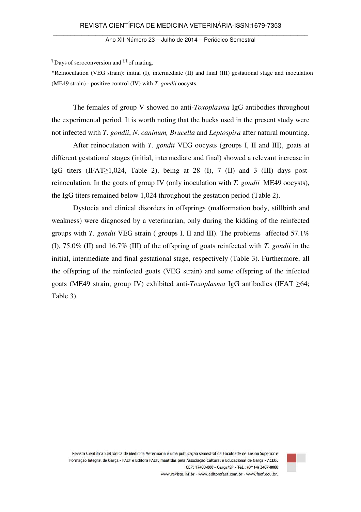$\P$  Days of seroconversion and  $\P$ <sup> $\P$ </sup> of mating.

\*Reinoculation (VEG strain): initial (I), intermediate (II) and final (III) gestational stage and inoculation (ME49 strain) - positive control (IV) with *T. gondii* oocysts.

The females of group V showed no anti-*Toxoplasma* IgG antibodies throughout the experimental period. It is worth noting that the bucks used in the present study were not infected with *T. gondii*, *N. caninum, Brucella* and *Leptospira* after natural mounting.

After reinoculation with *T. gondii* VEG oocysts (groups I, II and III), goats at different gestational stages (initial, intermediate and final) showed a relevant increase in IgG titers (IFAT>1,024, Table 2), being at 28 (I), 7 (II) and 3 (III) days postreinoculation. In the goats of group IV (only inoculation with *T. gondii* ME49 oocysts), the IgG titers remained below 1,024 throughout the gestation period (Table 2).

Dystocia and clinical disorders in offsprings (malformation body, stillbirth and weakness) were diagnosed by a veterinarian, only during the kidding of the reinfected groups with *T. gondii* VEG strain ( groups I, II and III). The problems affected 57.1% (I), 75.0% (II) and 16.7% (III) of the offspring of goats reinfected with *T. gondii* in the initial, intermediate and final gestational stage, respectively (Table 3). Furthermore, all the offspring of the reinfected goats (VEG strain) and some offspring of the infected goats (ME49 strain, group IV) exhibited anti-*Toxoplasma* IgG antibodies (IFAT ≥64; Table 3).



Revista Científica Eletrônica de Medicina Veterinária é uma publicação semestral da Faculdade de Ensino Superior e Formação Integral de Garça - FAEF e Editora FAEF, mantidas pela Associação Cultural e Educacional de Garça - ACEG. CEP: 17400-000 - Garça/SP - Tel.: (0\*\*14) 3407-8000 www.revista.inf.br - www.editorafaef.com.br - www.faef.edu.br.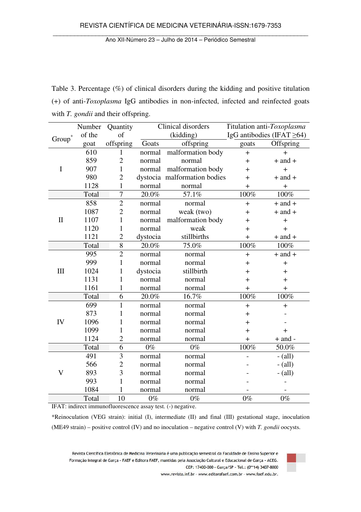Ano XII-Número 23 – Julho de 2014 – Periódico Semestral

Table 3. Percentage (%) of clinical disorders during the kidding and positive titulation (+) of anti-*Toxoplasma* IgG antibodies in non-infected, infected and reinfected goats with *T. gondii* and their offspring.

|                         | Number                        | Quantity       |          | Clinical disorders           |           | Titulation anti-Toxoplasma       |  |
|-------------------------|-------------------------------|----------------|----------|------------------------------|-----------|----------------------------------|--|
| $\mbox{Group}^*$        | of the                        | of             |          | (kidding)                    |           | IgG antibodies (IFAT $\geq 64$ ) |  |
|                         | goat                          | offspring      | Goats    | offspring                    |           | Offspring                        |  |
|                         | 610                           | 1              | normal   | malformation body            | $\ddot{}$ | $\ddot{}$                        |  |
|                         | 859                           | $\overline{2}$ | normal   | normal                       | $+$       | $+$ and $+$                      |  |
| I                       | 907                           | $\mathbf{1}$   | normal   | malformation body            | $+$       | $\ddot{}$                        |  |
|                         | 980                           | $\overline{2}$ |          | dystocia malformation bodies | $\pm$     | $+$ and $+$                      |  |
|                         | 1128                          | $\mathbf 1$    | normal   | normal                       | $\ddot{}$ | $\ddot{}$                        |  |
|                         | Total                         | 7              | 20.0%    | 57.1%                        | 100%      | 100%                             |  |
|                         | 858                           | $\overline{2}$ | normal   | normal                       | $+$       | $+$ and $+$                      |  |
|                         | 1087                          | $\overline{2}$ | normal   | weak (two)                   | $\ddot{}$ | $+$ and $+$                      |  |
| $\mathbf{I}$            | 1107                          | $\mathbf{1}$   | normal   | malformation body            | $\ddot{}$ | $\ddot{}$                        |  |
|                         | 1120                          | $\mathbf{1}$   | normal   | weak                         | $\pm$     | $\ddot{}$                        |  |
|                         | 1121                          | $\overline{2}$ | dystocia | stillbirths                  | $+$       | $+$ and $+$                      |  |
|                         | Total                         | 8              | 20.0%    | 75.0%                        | 100%      | 100%                             |  |
|                         | 995                           | $\overline{2}$ | normal   | normal                       | $+$       | $+$ and $+$                      |  |
|                         | 999                           | $\mathbf{1}$   | normal   | normal                       | $\ddot{}$ | $+$                              |  |
| III                     | 1024                          | 1              | dystocia | stillbirth                   | $\ddot{}$ | $\ddot{}$                        |  |
|                         | 1131                          | $\mathbf{1}$   | normal   | normal                       | $\ddot{}$ | $\ddot{}$                        |  |
|                         | 1161                          | $\mathbf{1}$   | normal   | normal                       | $+$       | $+$                              |  |
|                         | Total                         | 6              | 20.0%    | 16.7%                        | 100%      | 100%                             |  |
|                         | 699                           | $\mathbf{1}$   | normal   | normal                       | $\ddot{}$ | $\ddot{}$                        |  |
|                         | 873<br>$\mathbf{1}$<br>normal |                | normal   | $\pm$                        |           |                                  |  |
| IV                      | 1096                          | 1              | normal   | normal                       | $\ddot{}$ |                                  |  |
|                         | 1099                          | 1              | normal   | normal                       | $\pm$     | $\ddag$                          |  |
|                         | 1124                          | $\overline{2}$ | normal   | normal                       | $+$       | $+$ and $-$                      |  |
|                         | Total                         | 6              | $0\%$    | $0\%$                        | 100%      | 50.0%                            |  |
|                         | 491                           | 3              | normal   | normal                       |           | $-$ (all)                        |  |
|                         | 566                           | $\overline{c}$ | normal   | normal                       |           | $-$ (all)                        |  |
| $\overline{\mathsf{V}}$ | 893                           | 3<br>normal    |          | normal                       |           | $-$ (all)                        |  |
|                         | 993                           | $\mathbf{1}$   | normal   | normal                       |           |                                  |  |
|                         | 1084                          | 1              | normal   | normal                       |           |                                  |  |
|                         | Total                         | 10             | $0\%$    | $0\%$                        | $0\%$     | $0\%$                            |  |

IFAT: indirect immunofluorescence assay test. (-) negative.

\*Reinoculation (VEG strain): initial (I), intermediate (II) and final (III) gestational stage, inoculation (ME49 strain) – positive control (IV) and no inoculation – negative control (V) with *T. gondii* oocysts.

Revista Científica Eletrônica de Medicina Veterinária é uma publicação semestral da Faculdade de Ensino Superior e Formação Integral de Garça - FAEF e Editora FAEF, mantidas pela Associação Cultural e Educacional de Garça - ACEG. CEP: 17400-000 - Garça/SP - Tel.: (0\*\*14) 3407-8000



www.revista.inf.br - www.editorafaef.com.br - www.faef.edu.br.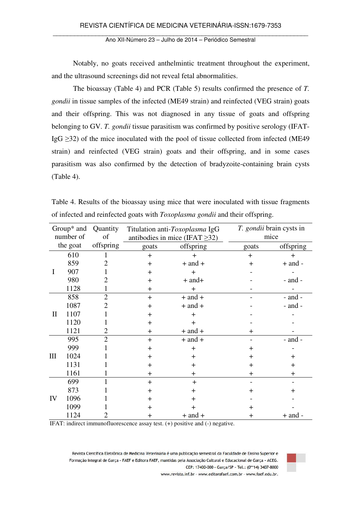Notably, no goats received anthelmintic treatment throughout the experiment, and the ultrasound screenings did not reveal fetal abnormalities.

The bioassay (Table 4) and PCR (Table 5) results confirmed the presence of *T. gondii* in tissue samples of the infected (ME49 strain) and reinfected (VEG strain) goats and their offspring. This was not diagnosed in any tissue of goats and offspring belonging to GV. *T. gondii* tissue parasitism was confirmed by positive serology (IFAT-IgG  $\geq$ 32) of the mice inoculated with the pool of tissue collected from infected (ME49 strain) and reinfected (VEG strain) goats and their offspring, and in some cases parasitism was also confirmed by the detection of bradyzoite-containing brain cysts (Table 4).

| Group <sup>*</sup> and Quantity<br>number of |      | of             |           | Titulation anti-Toxoplasma IgG<br>antibodies in mice (IFAT $\geq$ 32) | T. gondii brain cysts in<br>mice |             |  |
|----------------------------------------------|------|----------------|-----------|-----------------------------------------------------------------------|----------------------------------|-------------|--|
| the goat                                     |      | offspring      | goats     | offspring                                                             | goats                            | offspring   |  |
|                                              | 610  | L              | $\ddot{}$ | $+$                                                                   | $+$                              | $+$         |  |
|                                              | 859  | 2              | $\ddot{}$ | $+$ and $+$                                                           | $+$                              | $+$ and $-$ |  |
| Ι                                            | 907  |                | $\ddot{}$ | $+$                                                                   |                                  |             |  |
|                                              | 980  | 2              | $+$       | $+$ and $+$                                                           |                                  | $-$ and $-$ |  |
|                                              | 1128 |                | $\pm$     | $+$                                                                   |                                  |             |  |
|                                              | 858  | $\overline{2}$ | $+$       | $+$ and $+$                                                           |                                  | $-$ and $-$ |  |
|                                              | 1087 | 2              | $\ddot{}$ | $+$ and $+$                                                           |                                  | $-$ and $-$ |  |
| $\mathbf{I}$                                 | 1107 |                | $\pm$     | $\ddot{}$                                                             |                                  |             |  |
|                                              | 1120 |                | $\pm$     | $\ddot{}$                                                             |                                  |             |  |
|                                              | 1121 | 2              | $\pm$     | $+$ and $+$                                                           | $\div$                           |             |  |
|                                              | 995  | $\overline{2}$ | $+$       | $+$ and $+$                                                           |                                  | $-$ and $-$ |  |
|                                              | 999  |                | $\ddot{}$ | $+$                                                                   | $\ddot{}$                        |             |  |
| $\mathop{\rm III}$                           | 1024 |                | $\pm$     | $\pm$                                                                 | $\ddot{}$                        | $\ddot{}$   |  |
|                                              | 1131 |                | $\pm$     | $\ddot{}$                                                             | $\pm$                            | $\pm$       |  |
|                                              | 1161 |                | $\pm$     | $\ddot{}$                                                             | $\pm$                            | $\pm$       |  |
|                                              | 699  |                | $+$       | $\pm$                                                                 |                                  |             |  |
| IV                                           | 873  |                | $\ddot{}$ | $\pm$                                                                 | $\pm$                            | ┿           |  |
|                                              | 1096 | $\pm$          |           | $\ddot{}$                                                             |                                  |             |  |
|                                              | 1099 |                | $\pm$     | ┿                                                                     | ┿                                |             |  |
|                                              | 1124 |                | $\pm$     | $+$ and $+$                                                           | $\pm$                            | $+$ and $-$ |  |

Table 4. Results of the bioassay using mice that were inoculated with tissue fragments of infected and reinfected goats with *Toxoplasma gondii* and their offspring.

IFAT: indirect immunofluorescence assay test. (+) positive and (-) negative.

Revista Científica Eletrônica de Medicina Veterinária é uma publicação semestral da Faculdade de Ensino Superior e Formação Integral de Garça - FAEF e Editora FAEF, mantidas pela Associação Cultural e Educacional de Garça - ACEG. CEP: 17400-000 - Garça/SP - Tel.: (0\*\*14) 3407-8000



www.revista.inf.br - www.editorafaef.com.br - www.faef.edu.br.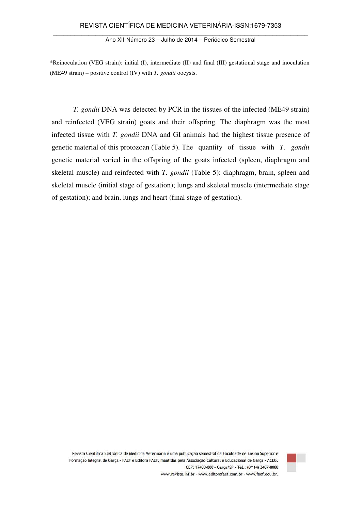\*Reinoculation (VEG strain): initial (I), intermediate (II) and final (III) gestational stage and inoculation (ME49 strain) – positive control (IV) with *T. gondii* oocysts.

*T. gondii* DNA was detected by PCR in the tissues of the infected (ME49 strain) and reinfected (VEG strain) goats and their offspring. The diaphragm was the most infected tissue with *T. gondii* DNA and GI animals had the highest tissue presence of genetic material of this protozoan (Table 5). The quantity of tissue with *T. gondii*  genetic material varied in the offspring of the goats infected (spleen, diaphragm and skeletal muscle) and reinfected with *T. gondii* (Table 5): diaphragm, brain, spleen and skeletal muscle (initial stage of gestation); lungs and skeletal muscle (intermediate stage of gestation); and brain, lungs and heart (final stage of gestation).



Revista Científica Eletrônica de Medicina Veterinária é uma publicação semestral da Faculdade de Ensino Superior e Formação Integral de Garça - FAEF e Editora FAEF, mantidas pela Associação Cultural e Educacional de Garça - ACEG. CEP: 17400-000 - Garça/SP - Tel.: (0\*\*14) 3407-8000 www.revista.inf.br - www.editorafaef.com.br - www.faef.edu.br.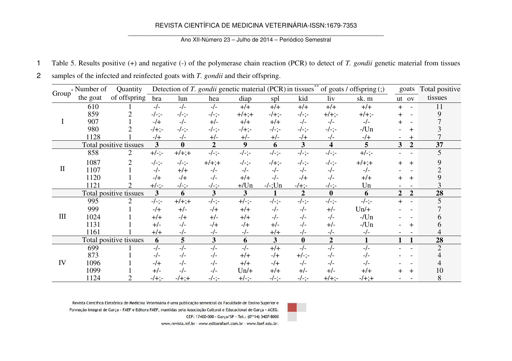## REVISTA CIENTÍFICA DE MEDICINA VETERINÁRIA-ISSN:1679-7353

#### Ano XII-Número 23 – Julho de 2014 – Periódico Semestral

- 1 Table 5. Results positive (+) and negative (-) of the polymerase chain reaction (PCR) to detect of *T. gondii* genetic material from tissues
- 2 samples of the infected and reinfected goats with *T. gondii* and their offspring.

| Group       | * Number of | Quantity               |                |          | Detection of T. gondii genetic material (PCR) in tissues <sup>**</sup> |          |                         |                |                         | of goats / offspring $($ ; $)$ | goats                            | Total positive |
|-------------|-------------|------------------------|----------------|----------|------------------------------------------------------------------------|----------|-------------------------|----------------|-------------------------|--------------------------------|----------------------------------|----------------|
|             | the goat    | of offspring           | bra            | lun      | hea                                                                    | diap     | spl                     | kid            | liv                     | sk. m                          | ut ov                            | tissues        |
|             | 610         |                        | $-/-$          | $-/-$    | $-/-$                                                                  | $+/+$    | $+/+$                   | $+/+$          | $+/+$                   | $+/+$                          | $+$<br>$\overline{\phantom{0}}$  | 11             |
|             | 859         |                        | $-/-; -$       | $-/-; -$ | $-/-; -$                                                               | $+/-;+$  | $-/-$                   | $-/-; -$       | $+/-$                   | $+/-$                          |                                  | 9              |
|             | 907         |                        | $-/+$          | $-/-$    | $+/-$                                                                  | $+/-$    | $+/+$                   | $-/-$          | $-/-$                   | $-/-$                          |                                  |                |
|             | 980         |                        | $-/-$          | $-/-; -$ | $-/-; -$                                                               | $-/-$    | $-/-; -$                | $-/-; -$       | -/-;-                   | $-Un$                          | ┿                                |                |
|             | 1128        |                        | $-/+$          | -/-      | $+/-$                                                                  | $+/-$    | $+/-$                   | $-/+$          | -/-                     | $-/+$                          | $\pm$                            |                |
|             |             | Total positive tissues | $\overline{3}$ | $\bf{0}$ | $\mathbf{2}$                                                           | 9        | 6                       | 3              | $\overline{\mathbf{4}}$ | 5                              | 3<br>$\overline{2}$              | 37             |
|             | 858         | 2                      | $+/-; -$       | $+/-;+$  | $-/-; -$                                                               | $-/-; -$ | $-/-; -$                | $-/-; -$       | $-/-; -$                | $+/-; -$                       |                                  |                |
|             | 1087        |                        | $-/-; -$       | $-/-; -$ | $+/-;+$                                                                | $-/-; -$ | $-/-$                   | $-/-; -$       | $-/-; -$                | $+/-;+$                        | $\pm$                            |                |
| $\mathbf H$ | 1107        |                        | $-/-$          | $+/+$    | $-/-$                                                                  | $-/-$    | $-/-$                   | $-/-$          | $-/-$                   | $-/-$                          |                                  |                |
|             | 1120        |                        | $-/-$          | $-/+$    | $-/-$                                                                  | $+/-$    | $-/-$                   | $-/+$          | $-/-$                   | $+/+$                          | $\pm$                            |                |
|             | 1121        |                        | $+/-; -$       | $-/-; -$ | -/-;-                                                                  | $+$ /Un  | $-/-;$ Un               | $-/-$          | $-/-; -$                | Un                             |                                  |                |
|             |             | Total positive tissues | $\overline{3}$ | 6        | 3                                                                      | 3        |                         | $\overline{2}$ | $\bf{0}$                | 6                              | $\overline{2}$<br>$\overline{2}$ | 28             |
|             | 995         | 2                      | $-/-; -$       | $+/-;+$  | $-/-; -$                                                               | $+/-; -$ | $-/-; -$                | $-/-; -$       | $-/-; -$                | $-/-; -$                       | $+$                              |                |
|             | 999         |                        | $-/+$          | $+/-$    | $-/+$                                                                  | $+/+$    | $-/-$                   | $-/-$          | $+/-$                   | $Un/+$                         |                                  |                |
| Ш           | 1024        |                        | $+/+$          | $-/+$    | $+/-$                                                                  | $+/+$    | $-/-$                   | $-/-$          | $-/-$                   | $-/Un$                         |                                  |                |
|             | 1131        |                        | $+/-$          | $-/-$    | $-/+$                                                                  | $-/+$    | $+/-$                   | $-/-$          | +/-                     | $-Un$                          |                                  |                |
|             | 1161        |                        | $+/+$          | -/-      | -/-                                                                    | $-/-$    | $+/+$                   | -/-            | $-/-$                   | $-/-$                          |                                  |                |
|             |             | Total positive tissues | 6              | 5        | 3                                                                      | 6        | $\overline{\mathbf{3}}$ | $\bf{0}$       | $\overline{2}$          |                                |                                  | 28             |
|             | 699         |                        | $-/-$          | $-/-$    | $-/-$                                                                  | $-/-$    | $+/+$                   | $-/-$          | $-/-$                   | $-/-$                          |                                  | $\overline{2}$ |
| IV          | 873         |                        | $-/-$          | $-/-$    | $-/-$                                                                  | $+/-$    | $-/+$                   | $+/-; -$       | $-/-$                   | $-/-$                          |                                  |                |
|             | 1096        |                        | $-/+$          | $-/-$    | $-/-$                                                                  | $+/+$    | $-/+$                   | $-/-$          | $-/-$                   | $-/-$                          |                                  |                |
|             | 1099        |                        | $+/-$          | $-/-$    | $-/-$                                                                  | $Un/+$   | $+/+$                   | $+/-$          | $+/-$                   | $+/+$                          | $\pm$                            | 10             |
|             | 1124        |                        | $-/-$          | $-/-;+$  | $-/-:-$                                                                | $+/-; -$ | $-/-$ ;-                | $-/-; -$       | $+/-$                   | $-/- + ; +$                    |                                  | 8              |

Revista Científica Eletrônica de Medicina Veterinária é uma publicação semestral da Faculdade de Ensino Superior e Formação Integral de Garça - FAEF e Editora FAEF, mantidas pela Associação Cultural e Educacional de Garça - ACEG. CEP: 17400-000 - Garca/SP - Tel.: (0\*\*14) 3407-8000

www.revista.inf.br - www.editorafaef.com.br - www.faef.edu.br.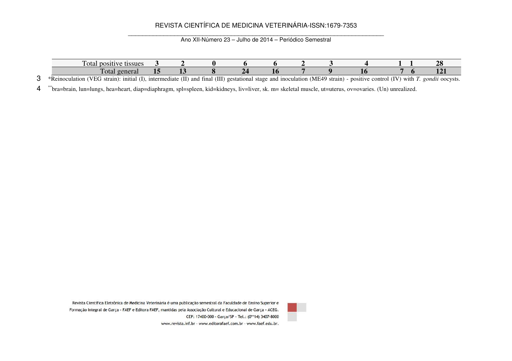## REVISTA CIENTÍFICA DE MEDICINA VETERINÁRIA-ISSN:1679-7353

Ano XII-Número 23 – Julho de 2014 – Periódico Semestral

| tissues<br>rotal a<br>positive                                                      |                         |              |                                |              |             |                   |                     |                          |                   |
|-------------------------------------------------------------------------------------|-------------------------|--------------|--------------------------------|--------------|-------------|-------------------|---------------------|--------------------------|-------------------|
| $\mathbf{r}$<br>Fotal                                                               |                         |              | --                             |              |             |                   |                     |                          |                   |
| $\mathbf{r}$ $\mathbf{r}$<br>$\sim$<br>*Reinoculation<br>' VEC<br>1mitial<br>strain | and<br>intermediate (II | HI)<br>tınal | estational a<br>$\alpha$<br>20 | and<br>stage | noculation! | DIE 19.<br>strain | control<br>positive | $\sim$<br>(IV)<br>with . | oocysts.<br>gondu |

\*\* bra=brain, lun=lungs, hea=heart, diap=diaphragm, spl=spleen, kid=kidneys, liv=liver, sk. m= skeletal muscle, ut=uterus, ov=ovaries. (Un) unrealized.



Revista Científica Eletrônica de Medicina Veterinária é uma publicação semestral da Faculdade de Ensino Superior e Formação Integral de Garça - FAEF e Editora FAEF, mantidas pela Associação Cultural e Educacional de Garça - ACEG. CEP: 17400-000 - Garca/SP - Tel.: (0\*\*14) 3407-8000 www.revista.inf.br - www.editorafaef.com.br - www.faef.edu.br.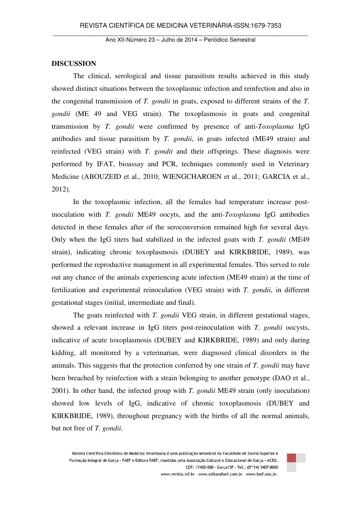## **DISCUSSION**

The clinical, serological and tissue parasitism results achieved in this study showed distinct situations between the toxoplasmic infection and reinfection and also in the congenital transmission of *T. gondii* in goats, exposed to different strains of the *T. gondii* (ME 49 and VEG strain). The toxoplasmosis in goats and congenital transmission by *T. gondii* were confirmed by presence of anti-*Toxoplasma* IgG antibodies and tissue parasitism by *T. gondii*, in goats infected (ME49 strain) and reinfected (VEG strain) with *T. gondii* and their offsprings. These diagnosis were performed by IFAT, bioassay and PCR, techniques commonly used in Veterinary Medicine (ABOUZEID et al., 2010; WIENGCHAROEN et al., 2011; GARCIA et al., 2012).

In the toxoplasmic infection, all the females had temperature increase postinoculation with *T. gondii* ME49 oocyts, and the anti-*Toxoplasma* IgG antibodies detected in these females after of the seroconversion remained high for several days. Only when the IgG titers had stabilized in the infected goats with *T. gondii* (ME49 strain), indicating chronic toxoplasmosis (DUBEY and KIRKBRIDE, 1989), was performed the reproductive management in all experimental females. This served to rule out any chance of the animals experiencing acute infection (ME49 strain) at the time of fertilization and experimental reinoculation (VEG strain) with *T. gondii*, in different gestational stages (initial, intermediate and final).

The goats reinfected with *T. gondii* VEG strain, in different gestational stages, showed a relevant increase in IgG titers post-reinoculation with *T. gondii* oocysts, indicative of acute toxoplasmosis (DUBEY and KIRKBRIDE, 1989) and only during kidding, all monitored by a veterinarian, were diagnosed clinical disorders in the animals. This suggests that the protection conferred by one strain of *T. gondii* may have been breached by reinfection with a strain belonging to another genotype (DAO et al., 2001). In other hand, the infected group with *T. gondii* ME49 strain (only inoculation) showed low levels of IgG, indicative of chronic toxoplasmosis (DUBEY and KIRKBRIDE, 1989), throughout pregnancy with the births of all the normal animals, but not free of *T. gondii*.

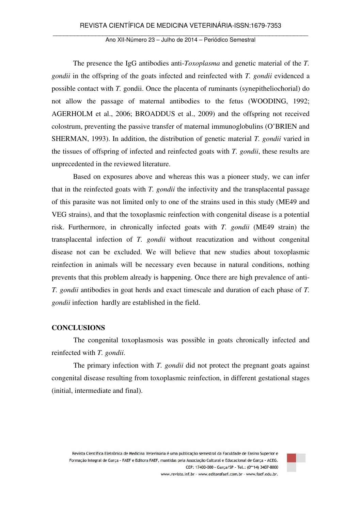The presence the IgG antibodies anti-*Toxoplasma* and genetic material of the *T. gondii* in the offspring of the goats infected and reinfected with *T. gondii* evidenced a possible contact with *T.* gondii. Once the placenta of ruminants (synepitheliochorial) do not allow the passage of maternal antibodies to the fetus (WOODING, 1992; AGERHOLM et al., 2006; BROADDUS et al., 2009) and the offspring not received colostrum, preventing the passive transfer of maternal immunoglobulins (O'BRIEN and SHERMAN, 1993). In addition, the distribution of genetic material *T. gondii* varied in the tissues of offspring of infected and reinfected goats with *T. gondii*, these results are unprecedented in the reviewed literature.

Based on exposures above and whereas this was a pioneer study, we can infer that in the reinfected goats with *T. gondii* the infectivity and the transplacental passage of this parasite was not limited only to one of the strains used in this study (ME49 and VEG strains), and that the toxoplasmic reinfection with congenital disease is a potential risk. Furthermore, in chronically infected goats with *T. gondii* (ME49 strain) the transplacental infection of *T. gondii* without reacutization and without congenital disease not can be excluded. We will believe that new studies about toxoplasmic reinfection in animals will be necessary even because in natural conditions, nothing prevents that this problem already is happening. Once there are high prevalence of anti-*T. gondii* antibodies in goat herds and exact timescale and duration of each phase of *T. gondii* infection hardly are established in the field.

#### **CONCLUSIONS**

The congenital toxoplasmosis was possible in goats chronically infected and reinfected with *T. gondii*.

The primary infection with *T. gondii* did not protect the pregnant goats against congenital disease resulting from toxoplasmic reinfection, in different gestational stages (initial, intermediate and final).

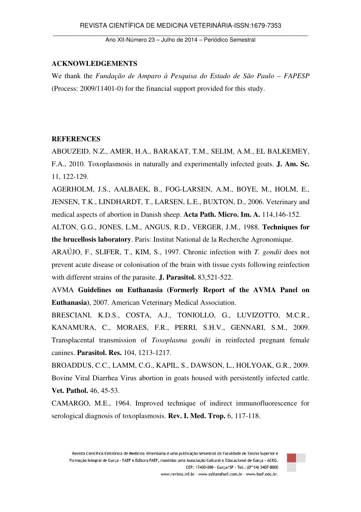## **ACKNOWLEDGEMENTS**

We thank the *Fundação de Amparo à Pesquisa do Estado de São Paulo – FAPESP* (Process: 2009/11401-0) for the financial support provided for this study.

## **REFERENCES**

ABOUZEID, N.Z., AMER, H.A., BARAKAT, T.M., SELIM, A.M., EL BALKEMEY, F.A., 2010. Toxoplasmosis in naturally and experimentally infected goats. **J. Am. Sc.** 11, 122-129.

AGERHOLM, J.S., AALBAEK, B., FOG-LARSEN, A.M., BOYE, M., HOLM, E., JENSEN, T.K., LINDHARDT, T., LARSEN, L.E., BUXTON, D., 2006. Veterinary and medical aspects of abortion in Danish sheep. **Acta Path. Micro. Im. A.** 114,146-152.

ALTON, G.G., JONES, L.M., ANGUS, R.D., VERGER, J.M., 1988. **Techniques for the brucellosis laboratory**. Paris: Institut National de la Recherche Agronomique.

ARAÚJO, F., SLIFER, T., KIM, S., 1997. Chronic infection with *T. gondii* does not prevent acute disease or colonisation of the brain with tissue cysts following reinfection with different strains of the parasite. **J. Parasitol.** 83,521-522.

AVMA **Guidelines on Euthanasia (Formerly Report of the AVMA Panel on Euthanasia)**, 2007. American Veterinary Medical Association.

BRESCIANI, K.D.S., COSTA, A.J., TONIOLLO, G., LUVIZOTTO, M.C.R., KANAMURA, C., MORAES, F.R., PERRI, S.H.V., GENNARI, S.M., 2009. Transplacental transmission of *Toxoplasma gondii* in reinfected pregnant female canines. **Parasitol. Res.** 104, 1213-1217.

BROADDUS, C.C., LAMM, C.G., KAPIL, S., DAWSON, L., HOLYOAK, G.R., 2009. Bovine Viral Diarrhea Virus abortion in goats housed with persistently infected cattle. **Vet. Pathol.** 46, 45-53.

CAMARGO, M.E., 1964. Improved technique of indirect immunofluorescence for serological diagnosis of toxoplasmosis. **Rev. I. Med. Trop.** 6, 117-118.

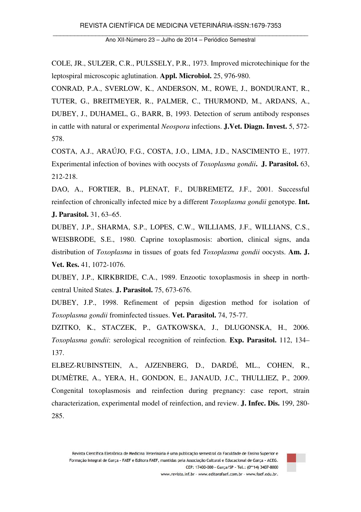COLE, JR., SULZER, C.R., PULSSELY, P.R., 1973. Improved microtechinique for the leptospiral microscopic aglutination. **Appl. Microbiol.** 25, 976-980.

CONRAD, P.A., SVERLOW, K., ANDERSON, M., ROWE, J., BONDURANT, R., TUTER, G., BREITMEYER, R., PALMER, C., THURMOND, M., ARDANS, A., DUBEY, J., DUHAMEL, G., BARR, B, 1993. Detection of serum antibody responses in cattle with natural or experimental *Neospora* infections. **J.Vet. Diagn. Invest.** 5, 572- 578.

COSTA, A.J., ARAÚJO, F.G., COSTA, J.O., LIMA, J.D., NASCIMENTO E., 1977. Experimental infection of bovines with oocysts of *Toxoplasma gondii***. J. Parasitol.** 63, 212-218.

DAO, A., FORTIER, B., PLENAT, F., DUBREMETZ, J.F., 2001. Successful reinfection of chronically infected mice by a different *Toxoplasma gondii* genotype. **Int. J. Parasitol.** 31, 63–65.

DUBEY, J.P., SHARMA, S.P., LOPES, C.W., WILLIAMS, J.F., WILLIANS, C.S., WEISBRODE, S.E., 1980. Caprine toxoplasmosis: abortion, clinical signs, anda distribution of *Toxoplasma* in tissues of goats fed *Toxoplasma gondii* oocysts. **Am. J. Vet. Res.** 41, 1072-1076.

DUBEY, J.P., KIRKBRIDE, C.A., 1989. Enzootic toxoplasmosis in sheep in northcentral United States. **J. Parasitol.** 75, 673-676.

DUBEY, J.P., 1998. Refinement of pepsin digestion method for isolation of *Toxoplasma gondii* frominfected tissues. **Vet. Parasitol.** 74, 75-77.

DZITKO, K., STACZEK, P., GATKOWSKA, J., DLUGONSKA, H., 2006. *Toxoplasma gondii*: serological recognition of reinfection. **Exp. Parasitol.** 112, 134– 137.

ELBEZ-RUBINSTEIN, A., AJZENBERG, D., DARDÉ, ML., COHEN, R., DUMÈTRE, A., YERA, H., GONDON, E., JANAUD, J.C., THULLIEZ, P., 2009. Congenital toxoplasmosis and reinfection during pregnancy: case report, strain characterization, experimental model of reinfection, and review. **J. Infec. Dis.** 199, 280- 285.

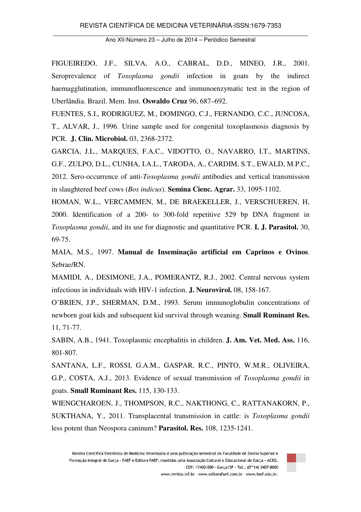FIGUEIREDO, J.F., SILVA, A.O., CABRAL, D.D., MINEO, J.R., 2001. Seroprevalence of *Toxoplasma gondii* infection in goats by the indirect haemagglutination, immunofluorescence and immunoenzymatic test in the region of Uberlândia. Brazil. Mem. Inst. **Oswaldo Cruz** 96, 687–692.

FUENTES, S.I., RODRIGUEZ, M., DOMINGO, C.J., FERNANDO, C.C., JUNCOSA, T., ALVAR, J., 1996. Urine sample used for congenital toxoplasmosis diagnosis by PCR. **J. Clin. Microbiol.** 03, 2368-2372.

GARCIA, J.L., MARQUES, F.A.C., VIDOTTO, O., NAVARRO, I.T., MARTINS, G.F., ZULPO, D.L., CUNHA, I.A.L., TARODA, A., CARDIM, S.T., EWALD, M.P.C., 2012. Sero-occurrence of anti-*Toxoplasma gondii* antibodies and vertical transmission in slaughtered beef cows (*Bos indicus*). **Semina Cienc. Agrar.** 33, 1095-1102.

HOMAN, W.L., VERCAMMEN, M., DE BRAEKELLER, J., VERSCHUEREN, H, 2000. Identification of a 200- to 300-fold repetitive 529 bp DNA fragment in *Toxoplasma gondii*, and its use for diagnostic and quantitative PCR. **I. J. Parasitol.** 30, 69-75.

MAIA, M.S., 1997. **Manual de Inseminação artificial em Caprinos e Ovinos**. Sebrae/RN.

MAMIDI, A., DESIMONE, J.A., POMERANTZ, R.J., 2002. Central nervous system infectious in individuals with HIV-1 infection. **J. Neurovirol.** 08, 158-167.

O'BRIEN, J.P., SHERMAN, D.M., 1993. Serum immunoglobulin concentrations of newborn goat kids and subsequent kid survival through weaning. **Small Ruminant Res.** 11, 71-77.

SABIN, A.B., 1941. Toxoplasmic encephalitis in children. **J. Am. Vet. Med. Ass.** 116, 801-807.

SANTANA, L.F., ROSSI, G.A.M., GASPAR, R.C., PINTO, W.M.R., OLIVEIRA, G.P., COSTA, A.J., 2013. Evidence of sexual transmission of *Toxoplasma gondii* in goats. **Small Ruminant Res.** 115, 130-133.

WIENGCHAROEN, J., THOMPSON, R.C., NAKTHONG, C., RATTANAKORN, P., SUKTHANA, Y., 2011. Transplacental transmission in cattle: is *Toxoplasma gondii* less potent than Neospora caninum? **Parasitol. Res.** 108, 1235-1241.